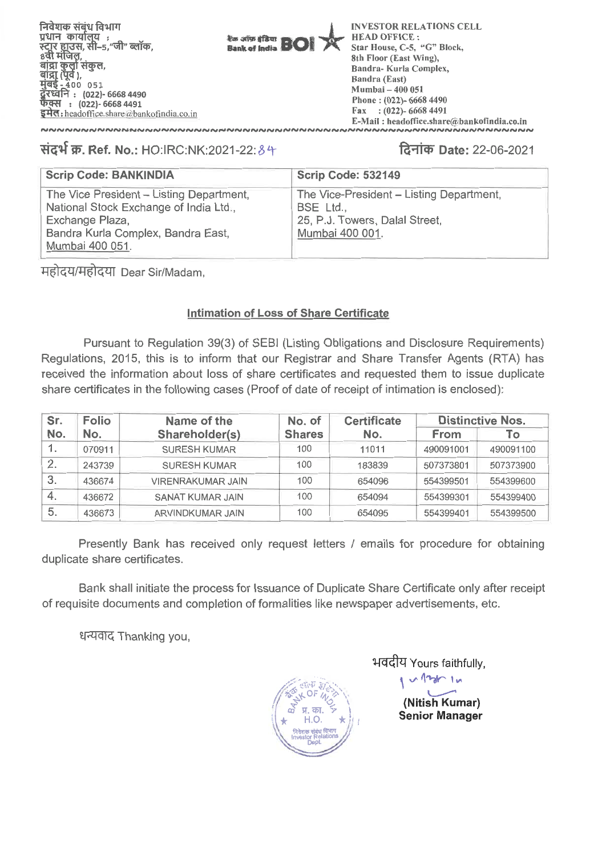**fad Rig) ftl4TIT**  प्रधान कार्यालय : .<br>स्टार हाउस, सी-5,"जी" ब्लॉक,<br>8वी मंजिल, **ाव),**<br>४०० ०५१ **: (022)- 6668 4490 q1{: (022)- 6668 4491 \$44cf :headoffice.share** athankofindia.co.in

**Instance of Brand Studt of India** 

**INVESTOR RELATIONS CELL HEAD OFFICE : Star House, C-5, "G" Block, 8th Floor (East Wing), Sandra- Kurla Complex, Bandra (East) Mumbai — 400 051 Phone : (022)- 6668 4490 Fax : (022)- 6668 4491 E-Mail : headoffice.share(tjubankofindia.co.in** 

# **W. Ref. No.: HO:IRC:NK:2021-22: 1.4-11q) Date: 22-06-2021**

| <b>Scrip Code: BANKINDIA</b>                                                                                                                                   | <b>Scrip Code: 532149</b>                                                                                  |
|----------------------------------------------------------------------------------------------------------------------------------------------------------------|------------------------------------------------------------------------------------------------------------|
| The Vice President - Listing Department,<br>National Stock Exchange of India Ltd.,<br>Exchange Plaza,<br>Bandra Kurla Complex, Bandra East,<br>Mumbai 400 051. | The Vice-President - Listing Department,<br>BSE Ltd.,<br>25, P.J. Towers, Dalal Street,<br>Mumbai 400 001. |

महोदय/महोदया Dear Sir/Madam,

# **Intimation of Loss of Share Certificate**

Pursuant to Regulation 39(3) of SEBI (Listing Obligations and Disclosure Requirements) Regulations, 2015, this is to inform that our Registrar and Share Transfer Agents (RTA) has received the information about loss of share certificates and requested them to issue duplicate share certificates in the following cases (Proof of date of receipt of intimation is enclosed):

| Sr.<br><b>Folio</b> |        | Name of the              | No. of        | <b>Certificate</b> | <b>Distinctive Nos.</b> |           |  |
|---------------------|--------|--------------------------|---------------|--------------------|-------------------------|-----------|--|
| No.                 | No.    | Shareholder(s)           | <b>Shares</b> | No.                | <b>From</b>             | Тo        |  |
|                     | 070911 | <b>SURESH KUMAR</b>      | 100           | 11011              | 490091001               | 490091100 |  |
| 2.                  | 243739 | <b>SURESH KUMAR</b>      | 100           | 183839             | 507373801               | 507373900 |  |
| 3.                  | 436674 | <b>VIRENRAKUMAR JAIN</b> | 100           | 654096             | 554399501               | 554399600 |  |
| 4.                  | 436672 | <b>SANAT KUMAR JAIN</b>  | 100           | 654094             | 554399301               | 554399400 |  |
| 5.                  | 436673 | ARVINDKUMAR JAIN         | 100           | 654095             | 554399401               | 554399500 |  |

Presently Bank has received only request letters / emails for procedure for obtaining duplicate share certificates.

Bank shall initiate the process for Issuance of Duplicate Share Certificate only after receipt of requisite documents and completion of formalities like newspaper advertisements, etc. park shar imidde the park<br>isite documents and co<br>धन्यवाद Thanking you,



भवदीय Yours faithfully,

**(Nitish Kumar) Senior Manager** 

 $v \sim 1$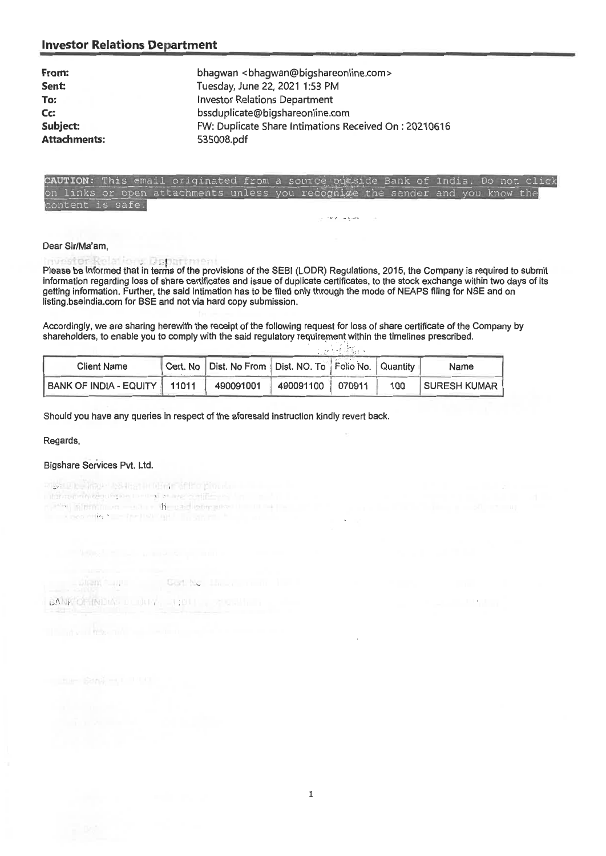| bhagwan<br>bhagwan@bigshareonline.com>                 |
|--------------------------------------------------------|
| Tuesday, June 22, 2021 1:53 PM                         |
| <b>Investor Relations Department</b>                   |
| bssduplicate@bigshareonline.com                        |
| FW: Duplicate Share Intimations Received On : 20210616 |
| 535008.pdf                                             |
|                                                        |

### CAUTION: This email originated from a source outside Bank of India. Do not click links or open attachments unless you recognize ntent is safe.

Dear Sir/Ma'am, Please be informed that in terms of the provisions of the SEBI (LODR) Regulations, 2015, the Company is required to submit information regarding loss of share certificates and issue of duplicate certificates, to the stock exchange within two days of its getting information. Further, the said intimation has to be filed only through the mode of NEAPS filing for NSE and on listing.bseindia.com for BSE and not via hard copy submission.

Accordingly, we are sharing herewith the receipt of the following request for loss of share certificate of the Company by shareholders, to enable you to comply with the said regulatory requirement within the timelines prescribed.

a del Bald

**TIME** 

and the property of the company

| <b>Client Name</b>             | Cert. No   Dist. No From   Dist. NO. To   Folio No.   Quantity |                  |     | Name         |
|--------------------------------|----------------------------------------------------------------|------------------|-----|--------------|
| BANK OF INDIA - EQUITY   11011 | 490091001                                                      | 490091100 070911 | 100 | SURESH KUMAR |

Should you have any queries in respect of the aforesaid instruction kindly revert back.

Regards,

### Bigshare Services Pvt. Ltd.

ing a policy usual and complete production  $\label{eq:3} \begin{minipage}[t]{0.99\textwidth} \begin{minipage}[t]{0.99\textwidth} \centering \begin{tikzpicture}[t]{0.99\textwidth} \centering \end{tikzpicture} \end{minipage}[t]{0.99\textwidth} \begin{minipage}[t]{0.99\textwidth} \centering \begin{tikzpicture}[t]{0.99\textwidth} \centering \end{tikzpicture} \end{minipage}[t]{0.99\textwidth} \begin{minipage}[t]{0.99\textwidth} \centering \end{minipage}[t]{0.99\textwidth} \begin{minipage}[t]{0.99\textwidth} \centering \end{minipage}[$ 

Stent Care Gott No. He are in the

BANK OF INDIA: DEUTHER THAT IT WAS ALLER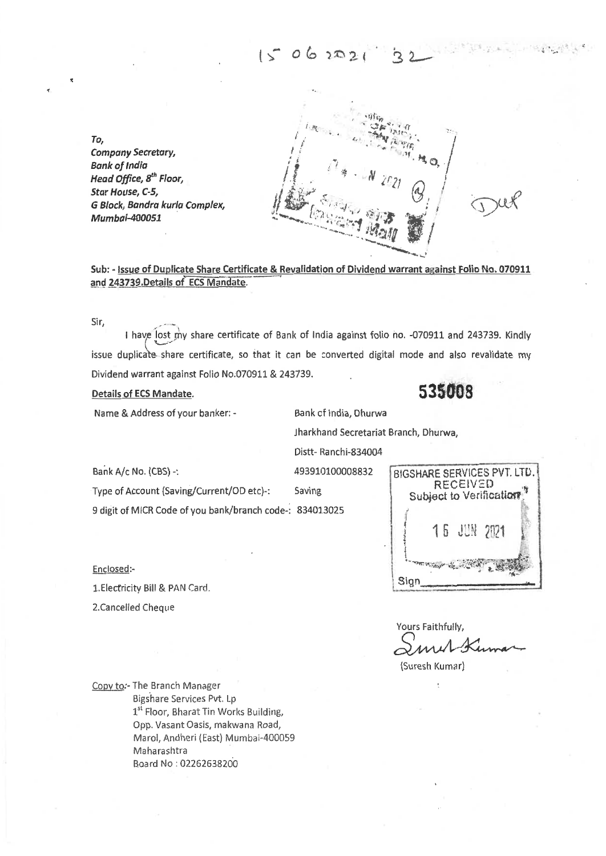$15062021$ 

*To, Company Secretary, Bank of India Head Office, 8<sup>th</sup> Floor, Star House, C-5, Block, Sandra kurla Complex, Mumbai-400051* 

Sub: - **Issue of Duplicate Share Certificate & Revalidation of Dividend warrant against Folio No. 070911 and 243739.Details of ECS Mandate.** 

Sir,

I have lost my share certificate of Bank of India against folio no. -070911 and 243739. Kindly issue duplicate share certificate, so that it can be converted digital mode and also revalidate my Dividend warrant against Folio No.070911 & 243739.

**Details of ECS Mandate. 535008** 

Name & Address of your banker: - Bank cf India, Dhurwa

iharkhand Secretariat Branch, Dhurwa,

Distt- Ranchi-834004

Type of Account (Saving/Current/OD etc)-: Saving

9 digit of MICR Code of you bank/branch code-: 834013025

Enclosed:-

1.Electricity Bill & PAN Card.

2.Cancelled Cheque

Bank A/c No. (CBS) -: 493910100008832 SIGSHARE SERVICES PVT. LTD. RECEIVED<br>Subject to Verification 1 5 EN 2921 Sign

Yours Faithfully,

(Su resh Kumar)

Copy to:- The Branch Manager Bigshare Services Pvt, Lp 1<sup>st</sup> Floor, Bharat Tin Works Building, Opp. Vasant Oasis, makwana Road, Mara!, Andheri (East) Mumbai-400059 Maharashtra Board No : 02262638200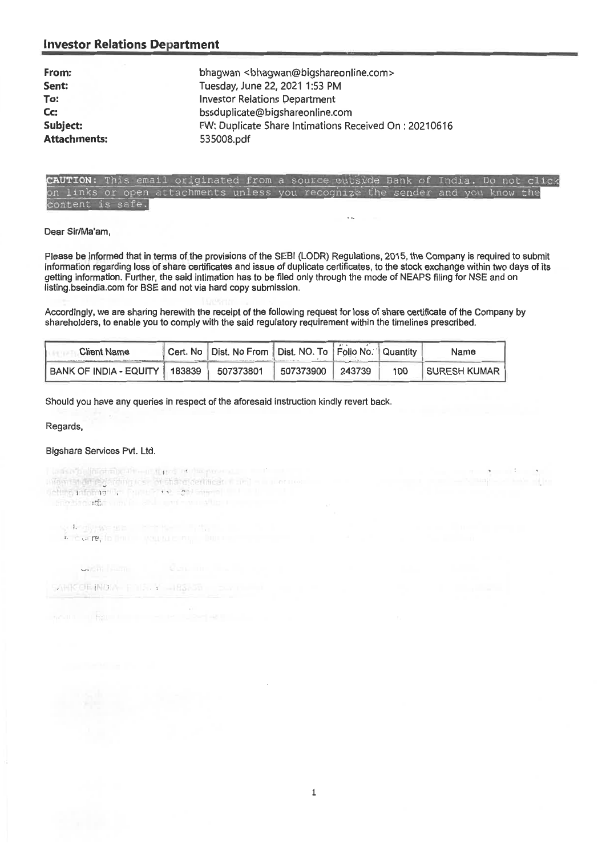| From:               | bhagwan<br>chagwan@bigshareonline.com>                |
|---------------------|-------------------------------------------------------|
| Sent:               | Tuesday, June 22, 2021 1:53 PM                        |
| To:                 | <b>Investor Relations Department</b>                  |
| Cc:                 | bssduplicate@bigshareonline.com                       |
| Subject:            | FW: Duplicate Share Intimations Received On: 20210616 |
| <b>Attachments:</b> | 535008.pdf                                            |



 $\sqrt{2}$ 

### **Dear Sir/Ma'am,**

**Please be informed that in terms of the provisions of the SEBI (LODR) Regulations, 2015, the Company is required to submit**  information regarding loss of share certificates and issue of duplicate certificates, to the stock exchange within two days of its getting information. Further, the said intimation has to be filed only through the mode of NEAPS filing for NSE and on listing.bseindia.com for BSE and not via hard copy submission.

Accordingly, we are sharing herewith the receipt of the following request for loss of share certificate of the Company by shareholders, to enable you to comply with the said regulatory requirement within the timelines prescribed.

| <b>Client Name</b>            | Cert. No   Dist. No From   Dist. NO. To   Folio No.   Quantity |           |        |     | Name                |
|-------------------------------|----------------------------------------------------------------|-----------|--------|-----|---------------------|
| BANK OF INDIA - EQUITY 183839 | 507373801                                                      | 507373900 | 243739 | 100 | <b>SURESH KUMAR</b> |

**Should you** have any queries in respect of the aforesaid instruction kindly revert back.

Regards,

### Bigshare Services Pvt. Ltd.

i kanse belinternbenheimteres in die provincie.<br>Algebruik ontogenemig isse of state (certification and main eraise) 

se te objeve que la contrata de la constitución.<br>La consegue por la consegue de la consegue del consegue de la consegue de la consegue de la consegue de la con

SAMK OF INDIA- FILE, Y -183-50

the Research of the Con-

**UNCHIL** PARTIES

1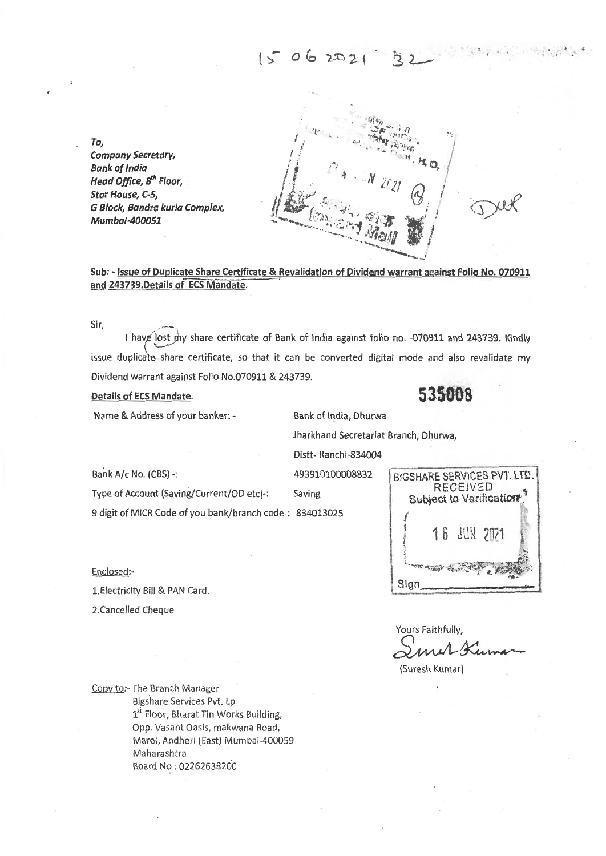# $15062021$

**To,**  *Company Secretary, Bank of India Head Office, 8<sup>th</sup> Floor, Star House, C-S, G Block, Sandra kurla Complex, Mumbal-400051* 

**Sub: - Issue of Duplicate Share Certificate & Revalidation of Dividend warrant against Folio No. 070911**  and 243739, Details of **ECS** Mandate.

Sir,

I have lost my share certificate of Bank of India against folio no. -070911 and 243739. Kindly issue duplicate share certificate, so that it can be converted digital mode and also revalidate my Dividend warrant against Folio No.070911 & 243739.

**Details of ECS Mandate. 5**.**35008** 

Name & Address of your banker: - Bank cf India, Dhurwa

.-•••

iharkhand Secretariat Branch, Dhurwa,

Distt- Ranchi-834004

1.Electricity Bill & PAN Card.

2.Cancelled Cheque

Enclosed:-

9 digit of MICR Code of you bank/branch code-: 834013025



Yours Faithfully,

(Suresh Kumar)

Copy to:- The Branch Manager Bigshare Services Pvt. Lp 1<sup>st</sup> Floor, Bharat Tin Works Building, Opp. Vasant Oasis, makwana Road, Marol, Andheri (East) Mumbai-400059 Maharashtra Board No : 02262638200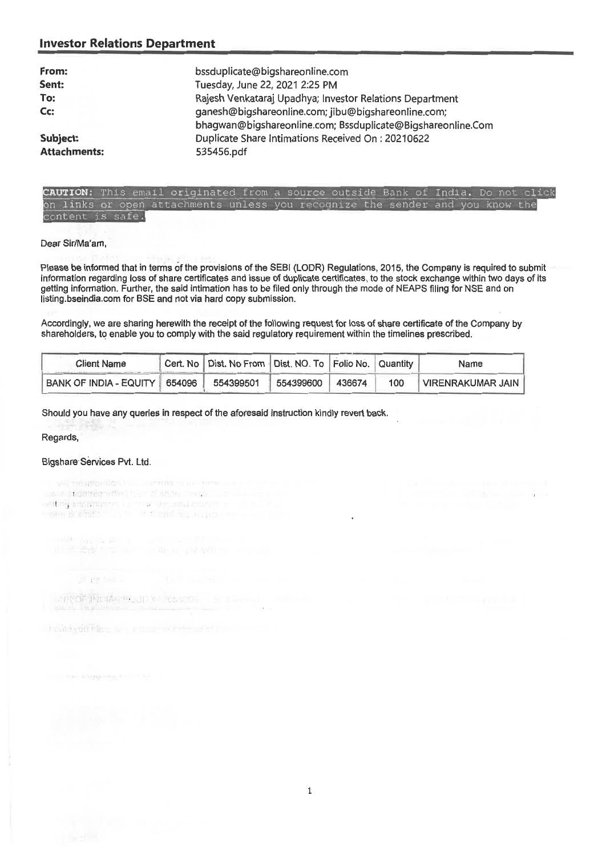| From:<br>Sent:      | bssduplicate@bigshareonline.com<br>Tuesday, June 22, 2021 2:25 PM                                                  |
|---------------------|--------------------------------------------------------------------------------------------------------------------|
| To:                 | Rajesh Venkataraj Upadhya; Investor Relations Department                                                           |
| Cc:                 | ganesh@bigshareonline.com; jibu@bigshareonline.com;<br>bhagwan@bigshareonline.com; Bssduplicate@Bigshareonline.Com |
| Subject:            | Duplicate Share Intimations Received On: 20210622                                                                  |
| <b>Attachments:</b> | 535456.pdf                                                                                                         |

### **UTION:** This email originated from a source outside Bank of India. Do not click on links or open attachments unless you recognize the sender and you know the is safe.

### Dear Sir/Ma'am,

Please be informed that in terms of the provisions of the SEBI (LODR) Regulations, 2015, the Company is required to submit information regarding loss of share certificates and issue of duplicate certificates, to the stock exchange within two days of its getting information. Further, the said intimation has to be filed only through the mode of NEAPS filing for NSE and on listing.bseindia.com for BSE and not via hard copy submission.

Accordingly, we are sharing herewith the receipt of the following request for loss of share certificate of the Company by shareholders, to enable you to comply with the said regulatory requirement within the timelines prescribed.

| Client Name                     | Cert. No   Dist. No From   Dist. NO. To   Folio No.   Quantity |           |        |     | Name              |
|---------------------------------|----------------------------------------------------------------|-----------|--------|-----|-------------------|
| BANK OF INDIA - EQUITY   654096 | 554399501                                                      | 554399600 | 436674 | 100 | VIRENRAKUMAR JAIN |

Should you have any queries in respect of the aforesaid instruction kindly revert back.

Regards,

### Bigshare Services Pvt. Ltd.

Dote anomnee when ISE all what in your common neltog informance. La ciudad personala per ciudad.<br>Pallos Brasiles con la ciudad con la caro della

ANKOF MELAS EQUITY RAMS ...

JP 28 NH -

a hoold you have will we use express of or pro-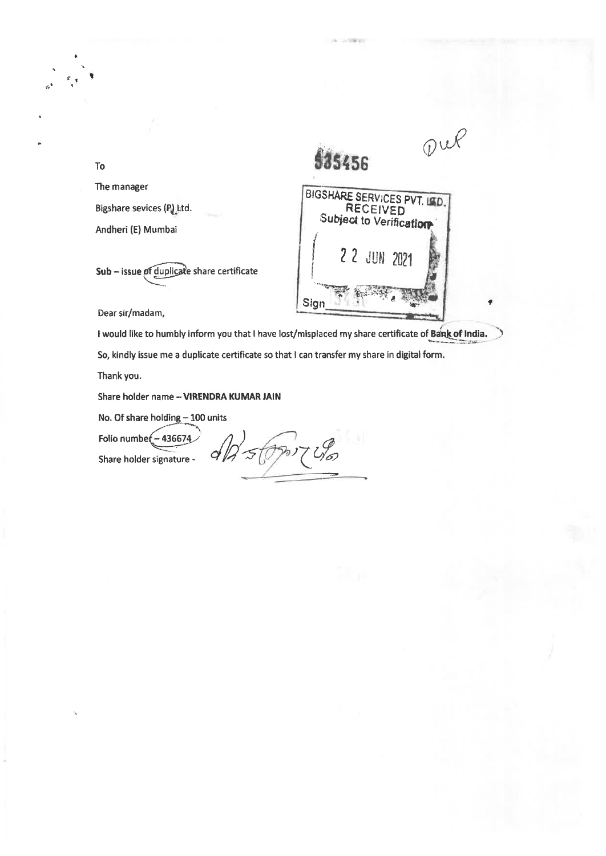

The manager Bigshare sevices (P) Ltd.

To

I

Andheri (E) Mumbai

Sub - issue of duplicate share certificate

Dear sir/madam,

I would like to humbly inform you that I have lost/misplaced my share certificate of **Bank of India. So, kindly issue me a duplicate** certificate so that I can transfer my share in digital form.

**Thank you.** 

**Share holder name** —VIRENDRA **KUMAR LAIN** 

**No. Of share holding —100 units** 

**Folio numbe - 436674** 

Share holder signature - *<i>QQ 5 (PPo)* 7 *US*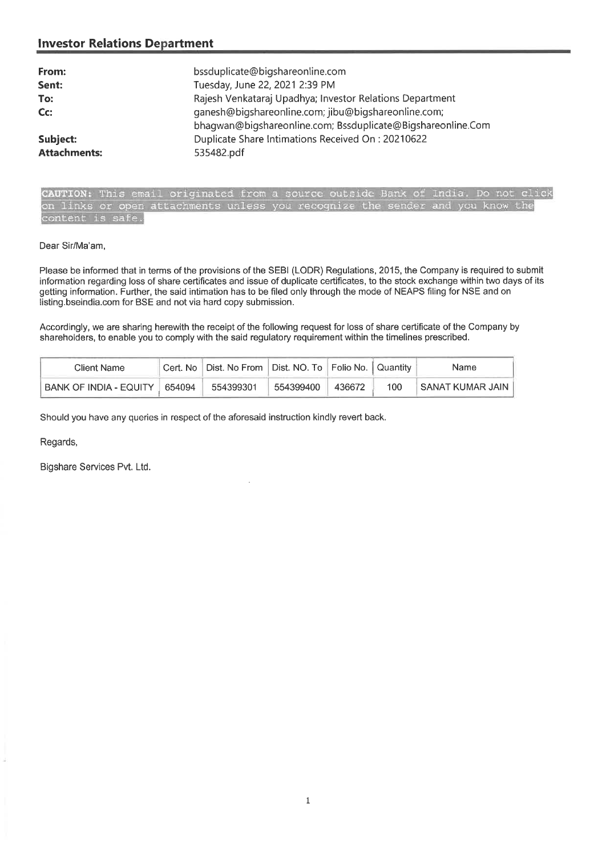| From:<br>Sent:<br>To:<br>$Cc$ : | bssduplicate@bigshareonline.com<br>Tuesday, June 22, 2021 2:39 PM<br>Rajesh Venkataraj Upadhya; Investor Relations Department<br>ganesh@bigshareonline.com; jibu@bigshareonline.com;<br>bhagwan@bigshareonline.com; Bssduplicate@Bigshareonline.Com |
|---------------------------------|-----------------------------------------------------------------------------------------------------------------------------------------------------------------------------------------------------------------------------------------------------|
| Subject:                        | Duplicate Share Intimations Received On: 20210622                                                                                                                                                                                                   |
| <b>Attachments:</b>             | 535482.pdf                                                                                                                                                                                                                                          |

CAUTION: This email originated from a source outside Bank of India. Do not click on links or open attachments unless you recognize the sender and you know the content is safe.

### Dear Sir/Ma'am,

Please be informed that in terms of the provisions of the SEBI (LODR) Regulations, 2015, the Company is required to submit information regarding loss of share certificates and issue of duplicate certificates, to the stock exchange within two days of its getting information. Further, the said intimation has to be filed only through the mode of NEAPS filing for NSE and on listing.bseindia.com for BSE and not via hard copy submission.

Accordingly, we are sharing herewith the receipt of the following request for loss of share certificate of the Company by shareholders, to enable you to comply with the said regulatory requirement within the timelines prescribed.

| Client Name            |        | Cert. No   Dist. No From   Dist. NO. To   Folio No.   Quantity |           |        |     | Name                |
|------------------------|--------|----------------------------------------------------------------|-----------|--------|-----|---------------------|
| BANK OF INDIA - EQUITY | 654094 | 554399301                                                      | 554399400 | 436672 | 100 | I SANAT KUMAR JAIN- |

Should you have any queries in respect of the aforesaid instruction kindly revert back.

Regards,

Bigshare Services Pvt. Ltd.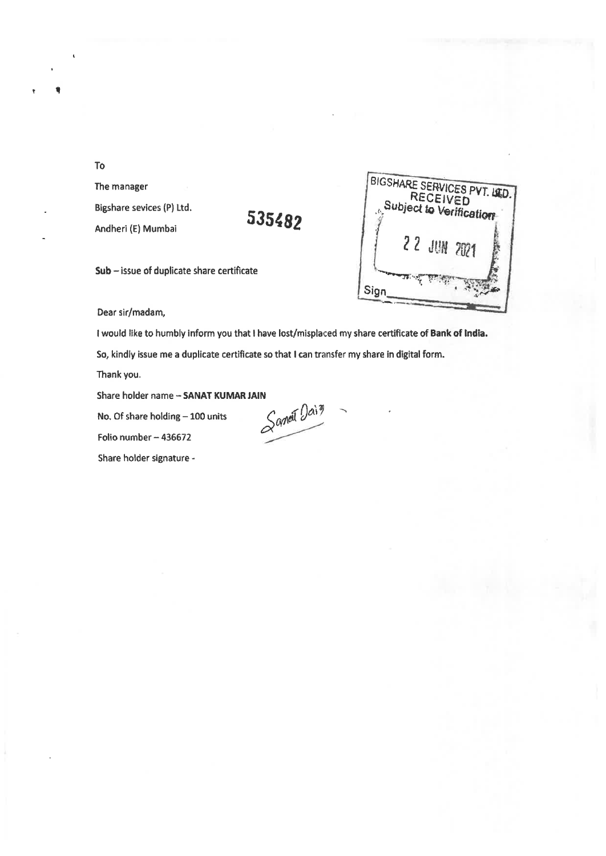To

**11** 

The manager Bigshare sevices (P) Ltd. Andheri (E) Mumbai

# **535482**



**Sub -** issue of duplicate share certificate

Dear sir/madam,

I would like to humbly inform you that I have lost/misplaced my share certificate of **Bank of India.** 

So, kindly issue me a duplicate certificate so that **I** can transfer my share in digital form.

Thank you.

No. Of share holding  $-100$  units

Folio number — 436672

Share holder signature -

Share holder name – **SANAT KUMAR JAIN**<br>
No. Of share holding – 100 units<br>
Folio numher – A36632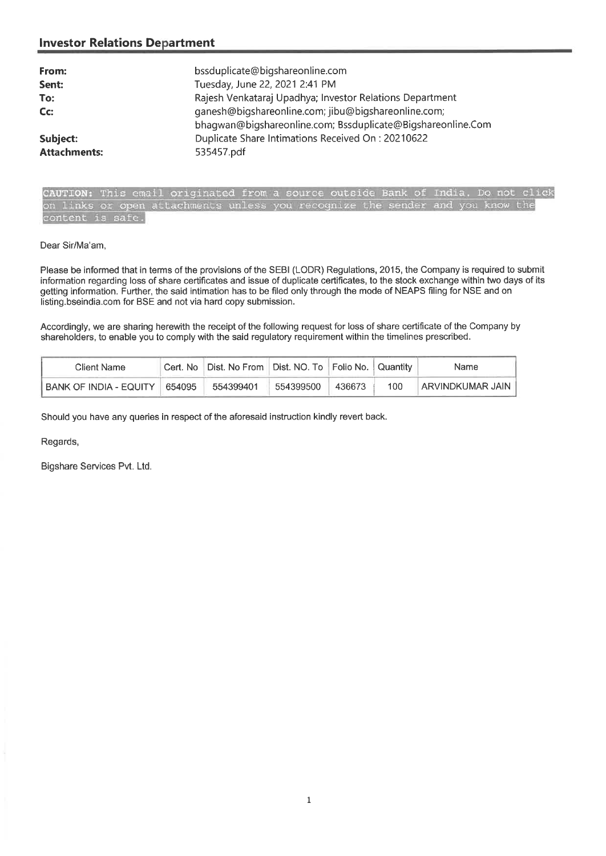| From:               | bssduplicate@bigshareonline.com                                                                                    |
|---------------------|--------------------------------------------------------------------------------------------------------------------|
| Sent:               | Tuesday, June 22, 2021 2:41 PM                                                                                     |
| To:                 | Rajesh Venkataraj Upadhya; Investor Relations Department                                                           |
| $Cc$ :              | ganesh@bigshareonline.com; jibu@bigshareonline.com;<br>bhagwan@bigshareonline.com; Bssduplicate@Bigshareonline.Com |
| Subject:            | Duplicate Share Intimations Received On: 20210622                                                                  |
| <b>Attachments:</b> | 535457.pdf                                                                                                         |



### Dear Sir/Ma'am,

Please be informed that in terms of the provisions of the SEBI (LODR) Regulations, 2015, the Company is required to submit information regarding loss of share certificates and issue of duplicate certificates, to the stock exchange within two days of its getting information. Further, the said intimation has to be filed only through the mode of NEAPS filing for NSE and on listing.bseindia.com for BSE and not via hard copy submission.

Accordingly, we are sharing herewith the receipt of the following request for loss of share certificate of the Company by shareholders, to enable you to comply with the said regulatory requirement within the timelines prescribed.

| Client Name            |        | Cert. No   Dist. No From   Dist. NO. To   Folio No.   Quantity |           |        |     | Name                |
|------------------------|--------|----------------------------------------------------------------|-----------|--------|-----|---------------------|
| BANK OF INDIA - EQUITY | 654095 | 554399401                                                      | 554399500 | 436673 | 100 | ∣ARVINDKUMAR JAIN I |

Should you have any queries in respect of the aforesaid instruction kindly revert back.

Regards,

Bigshare Services Pvt. Ltd.